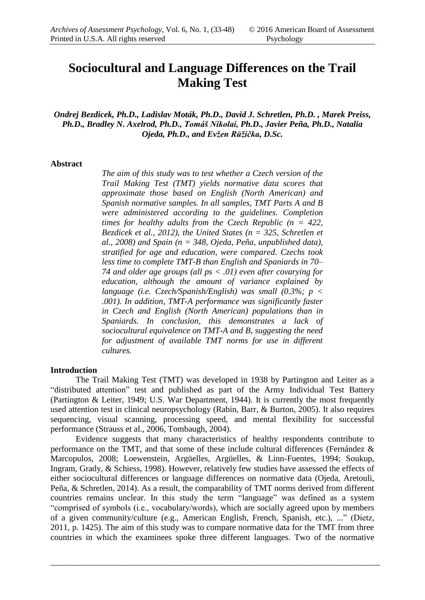# **Sociocultural and Language Differences on the Trail Making Test**

*Ondrej Bezdicek, Ph.D., Ladislav Moták, Ph.D., David J. Schretlen, Ph.D. , Marek Preiss, Ph.D., Bradley N. Axelrod, Ph.D., Tomáš Nikolai, Ph.D., Javier Peña, Ph.D., Natalia Ojeda, Ph.D., and Evžen Růžička, D.Sc.*

#### **Abstract**

*The aim of this study was to test whether a Czech version of the Trail Making Test (TMT) yields normative data scores that approximate those based on English (North American) and Spanish normative samples. In all samples, TMT Parts A and B were administered according to the guidelines. Completion times for healthy adults from the Czech Republic (n = 422, Bezdicek et al., 2012), the United States (n = 325, Schretlen et al., 2008) and Spain (n = 348, Ojeda, Peña, unpublished data), stratified for age and education, were compared. Czechs took less time to complete TMT-B than English and Spaniards in 70– 74 and older age groups (all ps < .01) even after covarying for education, although the amount of variance explained by language (i.e. Czech/Spanish/English) was small (0.3%; p < .001). In addition, TMT-A performance was significantly faster in Czech and English (North American) populations than in Spaniards. In conclusion, this demonstrates a lack of sociocultural equivalence on TMT-A and B, suggesting the need for adjustment of available TMT norms for use in different cultures.* 

#### **Introduction**

The Trail Making Test (TMT) was developed in 1938 by Partington and Leiter as a "distributed attention" test and published as part of the Army Individual Test Battery (Partington & Leiter, 1949; U.S. War Department, 1944). It is currently the most frequently used attention test in clinical neuropsychology (Rabin, Barr, & Burton, 2005). It also requires sequencing, visual scanning, processing speed, and mental flexibility for successful performance (Strauss et al., 2006, Tombaugh, 2004).

Evidence suggests that many characteristics of healthy respondents contribute to performance on the TMT, and that some of these include cultural differences (Fernández & Marcopulos, 2008; Loewenstein, Argüelles, Argüelles, & Linn-Fuentes, 1994; Soukup, Ingram, Grady, & Schiess, 1998). However, relatively few studies have assessed the effects of either sociocultural differences or language differences on normative data (Ojeda, Aretouli, Peña, & Schretlen, 2014). As a result, the comparability of TMT norms derived from different countries remains unclear. In this study the term "language" was defined as a system "comprised of symbols (i.e., vocabulary/words), which are socially agreed upon by members of a given community/culture (e.g., American English, French, Spanish, etc.), ..." (Dietz, 2011, p. 1425). The aim of this study was to compare normative data for the TMT from three countries in which the examinees spoke three different languages. Two of the normative

\_\_\_\_\_\_\_\_\_\_\_\_\_\_\_\_\_\_\_\_\_\_\_\_\_\_\_\_\_\_\_\_\_\_\_\_\_\_\_\_\_\_\_\_\_\_\_\_\_\_\_\_\_\_\_\_\_\_\_\_\_\_\_\_\_\_\_\_\_\_\_\_\_\_\_\_\_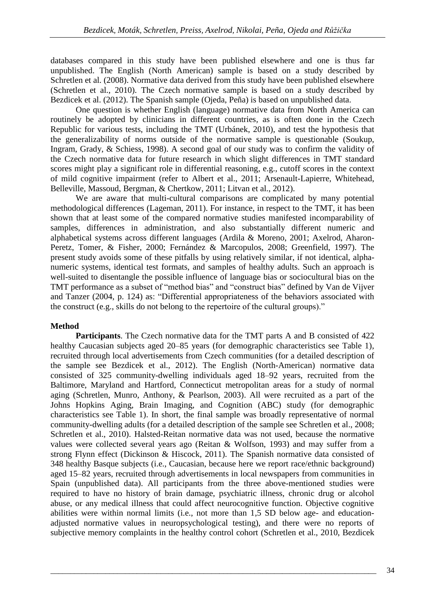databases compared in this study have been published elsewhere and one is thus far unpublished. The English (North American) sample is based on a study described by Schretlen et al. (2008). Normative data derived from this study have been published elsewhere (Schretlen et al., 2010). The Czech normative sample is based on a study described by Bezdicek et al. (2012). The Spanish sample (Ojeda, Peña) is based on unpublished data.

One question is whether English (language) normative data from North America can routinely be adopted by clinicians in different countries*,* as is often done in the Czech Republic for various tests, including the TMT (Urbánek, 2010), and test the hypothesis that the generalizability of norms outside of the normative sample is questionable (Soukup, Ingram, Grady, & Schiess, 1998). A second goal of our study was to confirm the validity of the Czech normative data for future research in which slight differences in TMT standard scores might play a significant role in differential reasoning, e.g., cutoff scores in the context of mild cognitive impairment (refer to Albert et al., 2011; Arsenault-Lapierre, Whitehead, Belleville, Massoud, Bergman, & Chertkow, 2011; Litvan et al., 2012).

We are aware that multi-cultural comparisons are complicated by many potential methodological differences (Lageman, 2011). For instance, in respect to the TMT, it has been shown that at least some of the compared normative studies manifested incomparability of samples, differences in administration, and also substantially different numeric and alphabetical systems across different languages (Ardila & Moreno, 2001; Axelrod, Aharon-Peretz, Tomer, & Fisher, 2000; Fernández & Marcopulos, 2008; Greenfield, 1997). The present study avoids some of these pitfalls by using relatively similar, if not identical, alphanumeric systems, identical test formats, and samples of healthy adults. Such an approach is well-suited to disentangle the possible influence of language bias or sociocultural bias on the TMT performance as a subset of "method bias" and "construct bias" defined by Van de Vijver and Tanzer (2004, p. 124) as: "Differential appropriateness of the behaviors associated with the construct (e.g., skills do not belong to the repertoire of the cultural groups)."

# **Method**

**Participants**. The Czech normative data for the TMT parts A and B consisted of 422 healthy Caucasian subjects aged 20–85 years (for demographic characteristics see Table 1), recruited through local advertisements from Czech communities (for a detailed description of the sample see Bezdicek et al., 2012). The English (North-American) normative data consisted of 325 community-dwelling individuals aged 18–92 years, recruited from the Baltimore, Maryland and Hartford, Connecticut metropolitan areas for a study of normal aging (Schretlen, Munro, Anthony, & Pearlson, 2003). All were recruited as a part of the Johns Hopkins Aging, Brain Imaging, and Cognition (ABC) study (for demographic characteristics see Table 1). In short, the final sample was broadly representative of normal community-dwelling adults (for a detailed description of the sample see Schretlen et al., 2008; Schretlen et al., 2010). Halsted-Reitan normative data was not used, because the normative values were collected several years ago (Reitan & Wolfson, 1993) and may suffer from a strong Flynn effect (Dickinson & Hiscock, 2011). The Spanish normative data consisted of 348 healthy Basque subjects (i.e., Caucasian, because here we report race/ethnic background) aged 15–82 years, recruited through advertisements in local newspapers from communities in Spain (unpublished data). All participants from the three above-mentioned studies were required to have no history of brain damage, psychiatric illness, chronic drug or alcohol abuse, or any medical illness that could affect neurocognitive function. Objective cognitive abilities were within normal limits (i.e., not more than 1,5 SD below age- and educationadjusted normative values in neuropsychological testing), and there were no reports of subjective memory complaints in the healthy control cohort (Schretlen et al., 2010, Bezdicek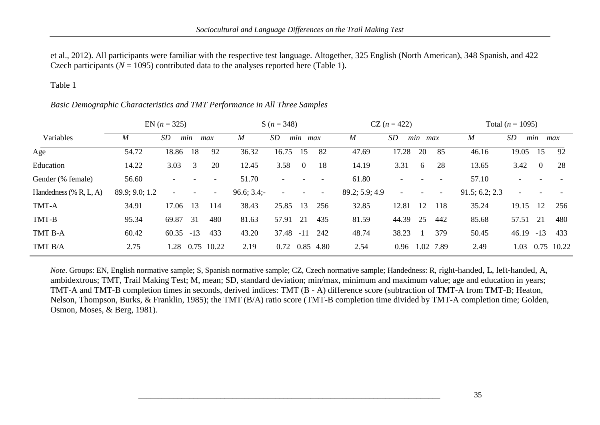et al., 2012). All participants were familiar with the respective test language. Altogether, 325 English (North American), 348 Spanish, and 422 Czech participants ( $N = 1095$ ) contributed data to the analyses reported here (Table 1).

## Table 1

# *Basic Demographic Characteristics and TMT Performance in All Three Samples*

|                           | EN $(n = 325)$ |           |                          |                          | S $(n = 348)$    |                   |           | $CZ (n = 422)$           |                |                          |      | Total ( $n = 1095$ )     |                |           |          |            |
|---------------------------|----------------|-----------|--------------------------|--------------------------|------------------|-------------------|-----------|--------------------------|----------------|--------------------------|------|--------------------------|----------------|-----------|----------|------------|
| Variables                 | M              | <b>SD</b> | min                      | max                      | $\boldsymbol{M}$ | SD                | min       | max                      | M              | SD                       | min  | max                      | M              | <b>SD</b> | min      | max        |
| Age                       | 54.72          | 18.86     | 18                       | 92                       | 36.32            | 16.75             | 15        | 82                       | 47.69          | 17.28                    | 20   | 85                       | 46.16          | 19.05     | 15       | -92        |
| Education                 | 14.22          | 3.03      | 3                        | 20                       | 12.45            | 3.58              | $\theta$  | 18                       | 14.19          | 3.31                     | 6    | 28                       | 13.65          | 3.42      | $\bf{0}$ | -28        |
| Gender (% female)         | 56.60          |           |                          | $\overline{\phantom{a}}$ | 51.70            |                   |           | $\overline{\phantom{a}}$ | 61.80          |                          |      |                          | 57.10          |           |          |            |
| Handedness $(\%$ R, L, A) | 89.9; 9.0; 1.2 |           | $\overline{\phantom{a}}$ | $\overline{\phantom{a}}$ | $96.6; 3.4; -$   | $\qquad \qquad -$ |           | $ \,$                    | 89.2; 5.9; 4.9 | $\overline{\phantom{0}}$ |      | $\overline{\phantom{a}}$ | 91.5; 6.2; 2.3 |           |          |            |
| TMT-A                     | 34.91          | 17.06     | 13                       | 114                      | 38.43            | 25.85             | 13        | 256                      | 32.85          | 12.81                    | 12   | 118                      | 35.24          | 19.15     | 12       | 256        |
| TMT-B                     | 95.34          | 69.87     | 31                       | 480                      | 81.63            | 57.91             | 21        | 435                      | 81.59          | 44.39                    | 25   | 442                      | 85.68          | 57.51     | 21       | 480        |
| TMT B-A                   | 60.42          | 60.35     | $-13$                    | 433                      | 43.20            | 37.48             | $-11$     | 242                      | 48.74          | 38.23                    |      | 379                      | 50.45          | 46.19     | $-13$    | 433        |
| TMT B/A                   | 2.75           | 1.28      |                          | 0.75 10.22               | 2.19             | 0.72              | 0.85 4.80 |                          | 2.54           | 0.96                     | 1.02 | 7.89                     | 2.49           | 1.03      |          | 0.75 10.22 |

*Note*. Groups: EN, English normative sample; S, Spanish normative sample; CZ, Czech normative sample; Handedness: R, right-handed, L, left-handed, A, ambidextrous; TMT, Trail Making Test; M, mean; SD, standard deviation; min/max, minimum and maximum value; age and education in years; TMT-A and TMT-B completion times in seconds, derived indices: TMT (B - A) difference score (subtraction of TMT-A from TMT-B; Heaton, Nelson, Thompson, Burks, & Franklin, 1985); the TMT (B/A) ratio score (TMT-B completion time divided by TMT-A completion time; Golden, Osmon, Moses, & Berg, 1981).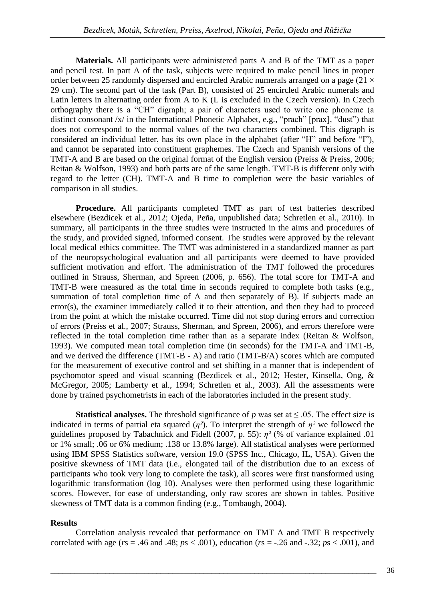**Materials.** All participants were administered parts A and B of the TMT as a paper and pencil test. In part A of the task, subjects were required to make pencil lines in proper order between 25 randomly dispersed and encircled Arabic numerals arranged on a page (21  $\times$ 29 cm). The second part of the task (Part B), consisted of 25 encircled Arabic numerals and Latin letters in alternating order from A to K (L is excluded in the Czech version). In Czech orthography there is a "CH" digraph; a pair of characters used to write one phoneme (a distinct consonant /x/ in the International Phonetic Alphabet, e.g., "prach" [prax], "dust") that does not correspond to the normal values of the two characters combined. This digraph is considered an individual letter, has its own place in the alphabet (after "H" and before "I"), and cannot be separated into constituent graphemes. The Czech and Spanish versions of the TMT-A and B are based on the original format of the English version (Preiss & Preiss, 2006; Reitan & Wolfson, 1993) and both parts are of the same length. TMT-B is different only with regard to the letter (CH). TMT-A and B time to completion were the basic variables of comparison in all studies.

**Procedure.** All participants completed TMT as part of test batteries described elsewhere (Bezdicek et al., 2012; Ojeda, Peña, unpublished data; Schretlen et al., 2010). In summary, all participants in the three studies were instructed in the aims and procedures of the study, and provided signed, informed consent. The studies were approved by the relevant local medical ethics committee. The TMT was administered in a standardized manner as part of the neuropsychological evaluation and all participants were deemed to have provided sufficient motivation and effort. The administration of the TMT followed the procedures outlined in Strauss, Sherman, and Spreen (2006, p. 656). The total score for TMT-A and TMT-B were measured as the total time in seconds required to complete both tasks (e.g., summation of total completion time of A and then separately of B). If subjects made an error(s), the examiner immediately called it to their attention, and then they had to proceed from the point at which the mistake occurred. Time did not stop during errors and correction of errors (Preiss et al., 2007; Strauss, Sherman, and Spreen, 2006), and errors therefore were reflected in the total completion time rather than as a separate index (Reitan & Wolfson, 1993). We computed mean total completion time (in seconds) for the TMT-A and TMT-B, and we derived the difference (TMT-B - A) and ratio (TMT-B/A) scores which are computed for the measurement of executive control and set shifting in a manner that is independent of psychomotor speed and visual scanning (Bezdicek et al., 2012; Hester, Kinsella, Ong, & McGregor, 2005; Lamberty et al., 1994; Schretlen et al., 2003). All the assessments were done by trained psychometrists in each of the laboratories included in the present study.

**Statistical analyses.** The threshold significance of *p* was set at  $\leq 0.05$ . The effect size is indicated in terms of partial eta squared ( $\eta^2$ ). To interpret the strength of  $\eta^2$  we followed the guidelines proposed by Tabachnick and Fidell (2007, p. 55): *η²* (% of variance explained .01 or 1% small; .06 or 6% medium; .138 or 13.8% large). All statistical analyses were performed using IBM SPSS Statistics software, version 19.0 (SPSS Inc., Chicago, IL, USA). Given the positive skewness of TMT data (i.e., elongated tail of the distribution due to an excess of participants who took very long to complete the task), all scores were first transformed using logarithmic transformation (log 10). Analyses were then performed using these logarithmic scores. However, for ease of understanding, only raw scores are shown in tables. Positive skewness of TMT data is a common finding (e.g., Tombaugh, 2004).

## **Results**

Correlation analysis revealed that performance on TMT A and TMT B respectively correlated with age ( $rs = .46$  and  $.48$ ;  $ps < .001$ ), education ( $rs = .26$  and  $-.32$ ;  $ps < .001$ ), and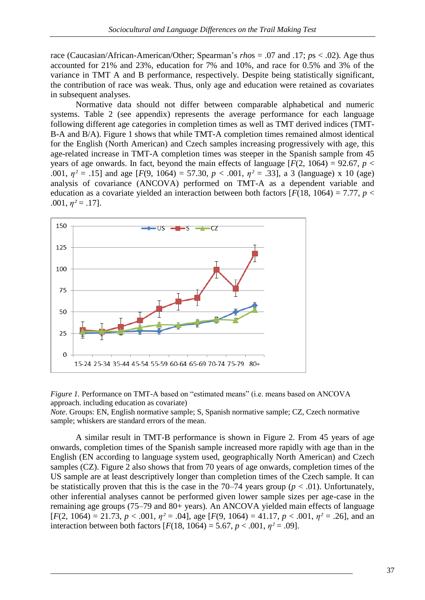race (Caucasian/African-American/Other; Spearman's *rho*s = .07 and .17; *p*s < .02). Age thus accounted for 21% and 23%, education for 7% and 10%, and race for 0.5% and 3% of the variance in TMT A and B performance, respectively. Despite being statistically significant, the contribution of race was weak. Thus, only age and education were retained as covariates in subsequent analyses.

Normative data should not differ between comparable alphabetical and numeric systems. Table 2 (see appendix) represents the average performance for each language following different age categories in completion times as well as TMT derived indices (TMT-B-A and B/A). Figure 1 shows that while TMT-A completion times remained almost identical for the English (North American) and Czech samples increasing progressively with age, this age-related increase in TMT-A completion times was steeper in the Spanish sample from 45 years of age onwards. In fact, beyond the main effects of language  $[F(2, 1064) = 92.67, p <$ .001,  $\eta^2 = .15$ ] and age [*F*(9, 1064) = 57.30, *p* < .001,  $\eta^2 = .33$ ], a 3 (language) x 10 (age) analysis of covariance (ANCOVA) performed on TMT-A as a dependent variable and education as a covariate yielded an interaction between both factors  $[F(18, 1064) = 7.77, p <$ .001,  $\eta^2 = .17$ ].



*Figure 1.* Performance on TMT-A based on "estimated means" (i.e. means based on ANCOVA approach. including education as covariate)

*Note*. Groups: EN, English normative sample; S, Spanish normative sample; CZ, Czech normative sample; whiskers are standard errors of the mean.

A similar result in TMT-B performance is shown in Figure 2. From 45 years of age onwards, completion times of the Spanish sample increased more rapidly with age than in the English (EN according to language system used, geographically North American) and Czech samples (CZ). Figure 2 also shows that from 70 years of age onwards, completion times of the US sample are at least descriptively longer than completion times of the Czech sample. It can be statistically proven that this is the case in the  $70-74$  years group ( $p < .01$ ). Unfortunately, other inferential analyses cannot be performed given lower sample sizes per age-case in the remaining age groups (75–79 and 80+ years). An ANCOVA yielded main effects of language  $[F(2, 1064) = 21.73, p < .001, \eta^2 = .04]$ , age  $[F(9, 1064) = 41.17, p < .001, \eta^2 = .26]$ , and an interaction between both factors  $[F(18, 1064) = 5.67, p < .001, \eta^2 = .09]$ .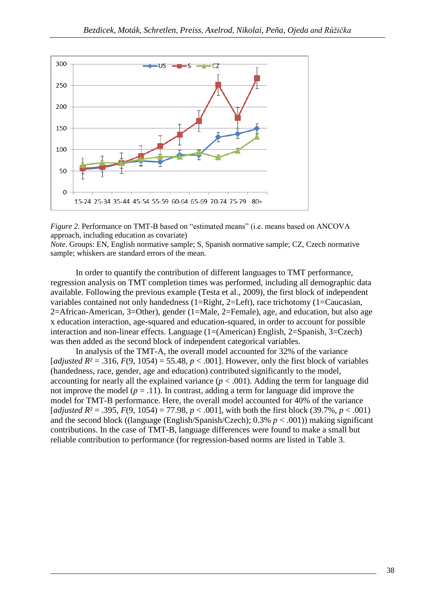

*Figure 2*. Performance on TMT-B based on "estimated means" (i.e. means based on ANCOVA approach, including education as covariate)

*Note*. Groups: EN, English normative sample; S, Spanish normative sample; CZ, Czech normative sample; whiskers are standard errors of the mean.

In order to quantify the contribution of different languages to TMT performance, regression analysis on TMT completion times was performed, including all demographic data available. Following the previous example (Testa et al., 2009), the first block of independent variables contained not only handedness (1=Right, 2=Left), race trichotomy (1=Caucasian, 2=African-American, 3=Other), gender (1=Male, 2=Female), age, and education, but also age x education interaction, age-squared and education-squared, in order to account for possible interaction and non-linear effects. Language (1=(American) English, 2=Spanish, 3=Czech) was then added as the second block of independent categorical variables.

In analysis of the TMT-A, the overall model accounted for 32% of the variance [*adjusted R*<sup>2</sup> = .316,  $F(9, 1054)$  = 55.48,  $p < .001$ ]. However, only the first block of variables (handedness, race, gender, age and education) contributed significantly to the model, accounting for nearly all the explained variance  $(p < .001)$ . Adding the term for language did not improve the model ( $p = .11$ ). In contrast, adding a term for language did improve the model for TMT-B performance. Here, the overall model accounted for 40% of the variance [*adjusted R*<sup>2</sup> = .395, *F*(9, 1054) = 77.98, *p* < .001], with both the first block (39.7%, *p* < .001) and the second block ((language (English/Spanish/Czech);  $0.3\% p < .001$ )) making significant contributions. In the case of TMT-B, language differences were found to make a small but reliable contribution to performance (for regression-based norms are listed in Table 3.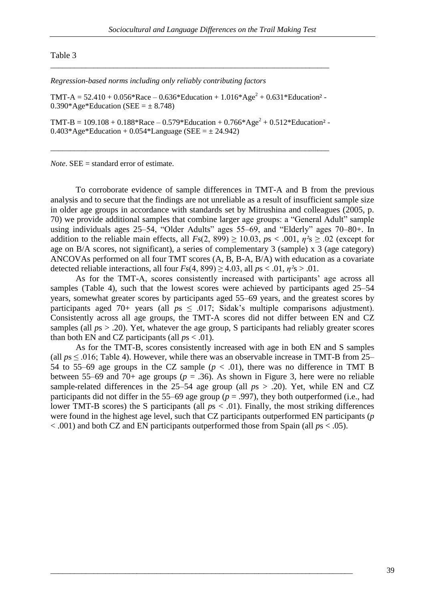Table 3

*Regression-based norms including only reliably contributing factors*

TMT-A = 52.410 + 0.056\*Race – 0.636\*Education + 1.016\*Age<sup>2</sup> + 0.631\*Education<sup>2</sup> -0.390\*Age\*Education (SEE =  $\pm$  8.748)

\_\_\_\_\_\_\_\_\_\_\_\_\_\_\_\_\_\_\_\_\_\_\_\_\_\_\_\_\_\_\_\_\_\_\_\_\_\_\_\_\_\_\_\_\_\_\_\_\_\_\_\_\_\_\_\_\_\_\_\_\_\_\_\_\_\_\_\_\_\_\_

TMT-B = 109.108 + 0.188\*Race – 0.579\*Education + 0.766\*Age<sup>2</sup> + 0.512\*Education<sup>2</sup> -0.403\*Age\*Education +  $0.054*$ Language (SEE =  $\pm$  24.942)

\_\_\_\_\_\_\_\_\_\_\_\_\_\_\_\_\_\_\_\_\_\_\_\_\_\_\_\_\_\_\_\_\_\_\_\_\_\_\_\_\_\_\_\_\_\_\_\_\_\_\_\_\_\_\_\_\_\_\_\_\_\_\_\_\_\_\_\_\_\_\_

*Note*. SEE = standard error of estimate.

To corroborate evidence of sample differences in TMT-A and B from the previous analysis and to secure that the findings are not unreliable as a result of insufficient sample size in older age groups in accordance with standards set by Mitrushina and colleagues (2005, p. 70) we provide additional samples that combine larger age groups: a "General Adult" sample using individuals ages 25–54, "Older Adults" ages 55–69, and "Elderly" ages 70–80+. In addition to the reliable main effects, all  $Fs(2, 899) > 10.03$ ,  $ps < .001$ ,  $n<sup>2</sup>s > .02$  (except for age on B/A scores, not significant), a series of complementary 3 (sample) x 3 (age category) ANCOVAs performed on all four TMT scores (A, B, B-A, B/A) with education as a covariate detected reliable interactions, all four  $Fs(4, 899) \ge 4.03$ , all  $ps < 0.01$ ,  $\eta^2s > 0.01$ .

As for the TMT-A, scores consistently increased with participants' age across all samples (Table 4), such that the lowest scores were achieved by participants aged 25–54 years, somewhat greater scores by participants aged 55–69 years, and the greatest scores by participants aged 70+ years (all  $p_s \leq .017$ ; Sidak's multiple comparisons adjustment). Consistently across all age groups, the TMT-A scores did not differ between EN and CZ samples (all  $ps > .20$ ). Yet, whatever the age group, S participants had reliably greater scores than both EN and CZ participants (all  $ps < .01$ ).

As for the TMT-B, scores consistently increased with age in both EN and S samples (all  $ps \leq .016$ ; Table 4). However, while there was an observable increase in TMT-B from 25– 54 to 55–69 age groups in the CZ sample  $(p < .01)$ , there was no difference in TMT B between 55–69 and 70+ age groups ( $p = .36$ ). As shown in Figure 3, here were no reliable sample-related differences in the 25–54 age group (all *p*s > .20). Yet, while EN and CZ participants did not differ in the 55–69 age group ( $p = .997$ ), they both outperformed (i.e., had lower TMT-B scores) the S participants (all  $ps < .01$ ). Finally, the most striking differences were found in the highest age level, such that CZ participants outperformed EN participants (*p* < .001) and both CZ and EN participants outperformed those from Spain (all *p*s < .05).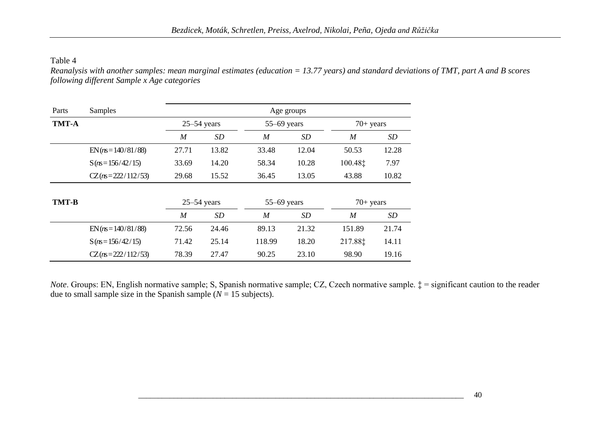Table 4

*Reanalysis with another samples: mean marginal estimates (education = 13.77 years) and standard deviations of TMT, part A and B scores following different Sample x Age categories* 

| Parts | Samples             | Age groups       |                 |                  |       |                   |       |  |  |  |
|-------|---------------------|------------------|-----------------|------------------|-------|-------------------|-------|--|--|--|
| TMT-A |                     |                  | $25 - 54$ years | $55-69$ years    |       | $70+ years$       |       |  |  |  |
|       |                     | $\boldsymbol{M}$ | SD              | $\overline{M}$   | SD    | $\boldsymbol{M}$  | SD    |  |  |  |
|       | $EN(ns=140/81/88)$  | 27.71            | 13.82           | 33.48            | 12.04 | 50.53             | 12.28 |  |  |  |
|       | $S(ns=156/42/15)$   | 33.69            | 14.20           | 58.34            | 10.28 | 100.48 $\ddagger$ | 7.97  |  |  |  |
|       | $CZ(ns=222/112/53)$ | 29.68            | 15.52           | 36.45            | 13.05 | 43.88             | 10.82 |  |  |  |
|       |                     |                  |                 |                  |       |                   |       |  |  |  |
| TMT-B |                     |                  | $25 - 54$ years | $55-69$ years    |       | $70+$ years       |       |  |  |  |
|       |                     | M                | SD              | $\boldsymbol{M}$ | SD    | $\boldsymbol{M}$  | SD    |  |  |  |
|       | $EN(nS=140/81/88)$  | 72.56            | 24.46           | 89.13            | 21.32 | 151.89            | 21.74 |  |  |  |
|       | $S(ns=156/42/15)$   | 71.42            | 25.14           | 118.99           | 18.20 | 217.88‡           | 14.11 |  |  |  |
|       | $CZ(ns=222/112/53)$ | 78.39            | 27.47           | 90.25            | 23.10 | 98.90             | 19.16 |  |  |  |

*Note*. Groups: EN, English normative sample; S, Spanish normative sample; CZ, Czech normative sample.  $\ddagger$  = significant caution to the reader due to small sample size in the Spanish sample  $(N = 15$  subjects).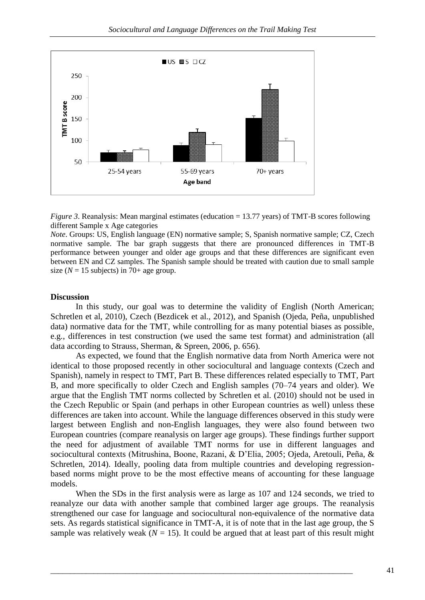

*Figure 3.* Reanalysis: Mean marginal estimates (education = 13.77 years) of TMT-B scores following different Sample x Age categories

*Note*. Groups: US, English language (EN) normative sample; S, Spanish normative sample; CZ, Czech normative sample. The bar graph suggests that there are pronounced differences in TMT-B performance between younger and older age groups and that these differences are significant even between EN and CZ samples. The Spanish sample should be treated with caution due to small sample size ( $N = 15$  subjects) in 70+ age group.

#### **Discussion**

In this study, our goal was to determine the validity of English (North American; Schretlen et al, 2010), Czech (Bezdicek et al., 2012), and Spanish (Ojeda, Peña, unpublished data) normative data for the TMT, while controlling for as many potential biases as possible, e.g., differences in test construction (we used the same test format) and administration (all data according to Strauss, Sherman, & Spreen, 2006, p. 656).

 As expected, we found that the English normative data from North America were not identical to those proposed recently in other sociocultural and language contexts (Czech and Spanish), namely in respect to TMT, Part B. These differences related especially to TMT, Part B, and more specifically to older Czech and English samples (70–74 years and older). We argue that the English TMT norms collected by Schretlen et al. (2010) should not be used in the Czech Republic or Spain (and perhaps in other European countries as well) unless these differences are taken into account. While the language differences observed in this study were largest between English and non-English languages, they were also found between two European countries (compare reanalysis on larger age groups). These findings further support the need for adjustment of available TMT norms for use in different languages and sociocultural contexts (Mitrushina, Boone, Razani, & D'Elia, 2005; Ojeda, Aretouli, Peña, & Schretlen, 2014). Ideally, pooling data from multiple countries and developing regressionbased norms might prove to be the most effective means of accounting for these language models.

 When the SDs in the first analysis were as large as 107 and 124 seconds, we tried to reanalyze our data with another sample that combined larger age groups. The reanalysis strengthened our case for language and sociocultural non-equivalence of the normative data sets. As regards statistical significance in TMT-A, it is of note that in the last age group, the S sample was relatively weak ( $N = 15$ ). It could be argued that at least part of this result might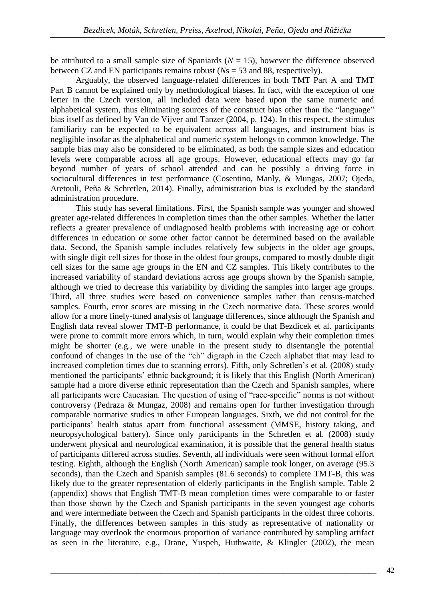be attributed to a small sample size of Spaniards ( $N = 15$ ), however the difference observed between CZ and EN participants remains robust (*N*s = 53 and 88, respectively).

Arguably, the observed language-related differences in both TMT Part A and TMT Part B cannot be explained only by methodological biases. In fact, with the exception of one letter in the Czech version, all included data were based upon the same numeric and alphabetical system, thus eliminating sources of the construct bias other than the "language" bias itself as defined by Van de Vijver and Tanzer (2004, p. 124). In this respect, the stimulus familiarity can be expected to be equivalent across all languages, and instrument bias is negligible insofar as the alphabetical and numeric system belongs to common knowledge. The sample bias may also be considered to be eliminated, as both the sample sizes and education levels were comparable across all age groups. However, educational effects may go far beyond number of years of school attended and can be possibly a driving force in sociocultural differences in test performance (Cosentino, Manly, & Mungas, 2007; Ojeda, Aretouli, Peña & Schretlen, 2014). Finally, administration bias is excluded by the standard administration procedure.

This study has several limitations. First, the Spanish sample was younger and showed greater age-related differences in completion times than the other samples. Whether the latter reflects a greater prevalence of undiagnosed health problems with increasing age or cohort differences in education or some other factor cannot be determined based on the available data. Second, the Spanish sample includes relatively few subjects in the older age groups, with single digit cell sizes for those in the oldest four groups, compared to mostly double digit cell sizes for the same age groups in the EN and CZ samples. This likely contributes to the increased variability of standard deviations across age groups shown by the Spanish sample, although we tried to decrease this variability by dividing the samples into larger age groups. Third, all three studies were based on convenience samples rather than census-matched samples. Fourth, error scores are missing in the Czech normative data. These scores would allow for a more finely-tuned analysis of language differences, since although the Spanish and English data reveal slower TMT-B performance, it could be that Bezdicek et al. participants were prone to commit more errors which, in turn, would explain why their completion times might be shorter (e.g., we were unable in the present study to disentangle the potential confound of changes in the use of the "ch" digraph in the Czech alphabet that may lead to increased completion times due to scanning errors). Fifth, only Schretlen's et al. (2008) study mentioned the participants' ethnic background; it is likely that this English (North American) sample had a more diverse ethnic representation than the Czech and Spanish samples, where all participants were Caucasian. The question of using of "race-specific" norms is not without controversy (Pedraza & Mungaz, 2008) and remains open for further investigation through comparable normative studies in other European languages. Sixth, we did not control for the participants' health status apart from functional assessment (MMSE, history taking, and neuropsychological battery). Since only participants in the Schretlen et al. (2008) study underwent physical and neurological examination, it is possible that the general health status of participants differed across studies. Seventh, all individuals were seen without formal effort testing. Eighth, although the English (North American) sample took longer, on average (95.3 seconds), than the Czech and Spanish samples (81.6 seconds) to complete TMT-B, this was likely due to the greater representation of elderly participants in the English sample. Table 2 (appendix) shows that English TMT-B mean completion times were comparable to or faster than those shown by the Czech and Spanish participants in the seven youngest age cohorts and were intermediate between the Czech and Spanish participants in the oldest three cohorts. Finally, the differences between samples in this study as representative of nationality or language may overlook the enormous proportion of variance contributed by sampling artifact as seen in the literature, e.g., Drane, Yuspeh, Huthwaite, & Klingler (2002), the mean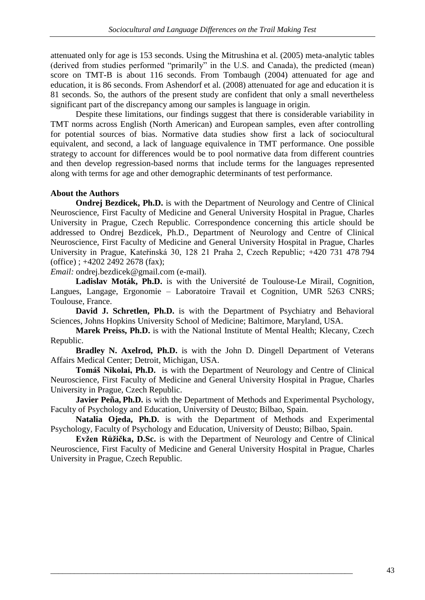attenuated only for age is 153 seconds. Using the Mitrushina et al. (2005) meta-analytic tables (derived from studies performed "primarily" in the U.S. and Canada), the predicted (mean) score on TMT-B is about 116 seconds. From Tombaugh (2004) attenuated for age and education, it is 86 seconds. From Ashendorf et al. (2008) attenuated for age and education it is 81 seconds. So, the authors of the present study are confident that only a small nevertheless significant part of the discrepancy among our samples is language in origin.

Despite these limitations, our findings suggest that there is considerable variability in TMT norms across English (North American) and European samples, even after controlling for potential sources of bias. Normative data studies show first a lack of sociocultural equivalent, and second, a lack of language equivalence in TMT performance. One possible strategy to account for differences would be to pool normative data from different countries and then develop regression-based norms that include terms for the languages represented along with terms for age and other demographic determinants of test performance.

# **About the Authors**

**Ondrej Bezdicek, Ph.D.** is with the Department of Neurology and Centre of Clinical Neuroscience, First Faculty of Medicine and General University Hospital in Prague, Charles University in Prague, Czech Republic. Correspondence concerning this article should be addressed to Ondrej Bezdicek, Ph.D., Department of Neurology and Centre of Clinical Neuroscience, First Faculty of Medicine and General University Hospital in Prague, Charles University in Prague, Kateřinská 30, 128 21 Praha 2, Czech Republic; +420 731 478 794 (office) ; +4202 2492 2678 (fax);

*Email:* ondrej.bezdicek@gmail.com (e-mail).

**Ladislav Moták, Ph.D.** is with the Université de Toulouse-Le Mirail, Cognition, Langues, Langage, Ergonomie – Laboratoire Travail et Cognition, UMR 5263 CNRS; Toulouse, France.

**David J. Schretlen, Ph.D.** is with the Department of Psychiatry and Behavioral Sciences, Johns Hopkins University School of Medicine; Baltimore, Maryland, USA.

**Marek Preiss, Ph.D.** is with the National Institute of Mental Health; Klecany, Czech Republic.

**Bradley N. Axelrod, Ph.D.** is with the John D. Dingell Department of Veterans Affairs Medical Center; Detroit, Michigan, USA.

**Tomáš Nikolai, Ph.D.** is with the Department of Neurology and Centre of Clinical Neuroscience, First Faculty of Medicine and General University Hospital in Prague, Charles University in Prague, Czech Republic.

**Javier Peña, Ph.D.** is with the Department of Methods and Experimental Psychology, Faculty of Psychology and Education, University of Deusto; Bilbao, Spain.

**Natalia Ojeda, Ph.D.** is with the Department of Methods and Experimental Psychology, Faculty of Psychology and Education, University of Deusto; Bilbao, Spain.

**Evžen Růžička, D.Sc.** is with the Department of Neurology and Centre of Clinical Neuroscience, First Faculty of Medicine and General University Hospital in Prague, Charles University in Prague, Czech Republic.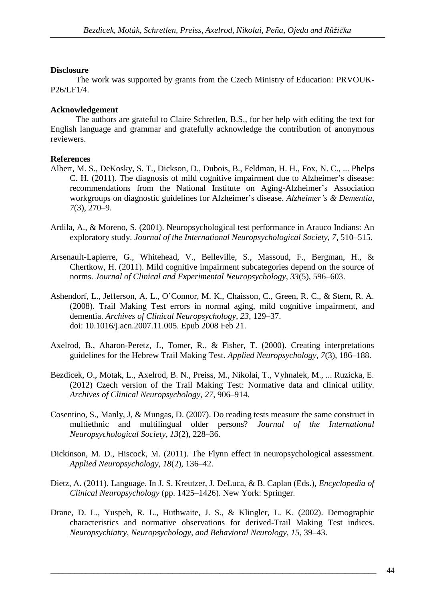## **Disclosure**

The work was supported by grants from the Czech Ministry of Education: PRVOUK-P26/LF1/4.

# **Acknowledgement**

The authors are grateful to Claire Schretlen, B.S., for her help with editing the text for English language and grammar and gratefully acknowledge the contribution of anonymous reviewers.

# **References**

- Albert, M. S., DeKosky, S. T., Dickson, D., Dubois, B., Feldman, H. H., Fox, N. C., ... Phelps C. H. (2011). The diagnosis of mild cognitive impairment due to Alzheimer's disease: recommendations from the National Institute on Aging-Alzheimer's Association workgroups on diagnostic guidelines for Alzheimer's disease. *Alzheimer's & Dementia, 7*(3), 270–9.
- Ardila, A., & Moreno, S. (2001). Neuropsychological test performance in Arauco Indians: An exploratory study. *Journal of the International Neuropsychological Society, 7*, 510–515.
- Arsenault-Lapierre, G., Whitehead, V., Belleville, S., Massoud, F., Bergman, H., & Chertkow, H. (2011). Mild cognitive impairment subcategories depend on the source of norms. *Journal of Clinical and Experimental Neuropsychology, 33*(5), 596–603.
- Ashendorf, L., Jefferson, A. L., O'Connor, M. K., Chaisson, C., Green, R. C., & Stern, R. A. (2008). Trail Making Test errors in normal aging, mild cognitive impairment, and dementia. *Archives of Clinical Neuropsychology, 23*, 129–37. doi: 10.1016/j.acn.2007.11.005. Epub 2008 Feb 21.
- Axelrod, B., Aharon-Peretz, J., Tomer, R., & Fisher, T. (2000). Creating interpretations guidelines for the Hebrew Trail Making Test. *Applied Neuropsychology, 7*(3), 186–188.
- Bezdicek, O., Motak, L., Axelrod, B. N., Preiss, M., Nikolai, T., Vyhnalek, M., ... Ruzicka, E. (2012) Czech version of the Trail Making Test: Normative data and clinical utility. *Archives of Clinical Neuropsychology, 27*, 906–914.
- Cosentino, S., Manly, J, & Mungas, D. (2007). Do reading tests measure the same construct in multiethnic and multilingual older persons? *Journal of the International Neuropsychological Society, 13*(2), 228–36.
- Dickinson, M. D., Hiscock, M. (2011). The Flynn effect in neuropsychological assessment. *Applied Neuropsychology, 18*(2), 136–42.
- Dietz, A. (2011). Language. In J. S. Kreutzer, J. DeLuca, & B. Caplan (Eds.), *Encyclopedia of Clinical Neuropsychology* (pp. 1425–1426). New York: Springer.
- Drane, D. L., Yuspeh, R. L., Huthwaite, J. S., & Klingler, L. K. (2002). Demographic characteristics and normative observations for derived-Trail Making Test indices. *Neuropsychiatry, Neuropsychology, and Behavioral Neurology, 15*, 39–43.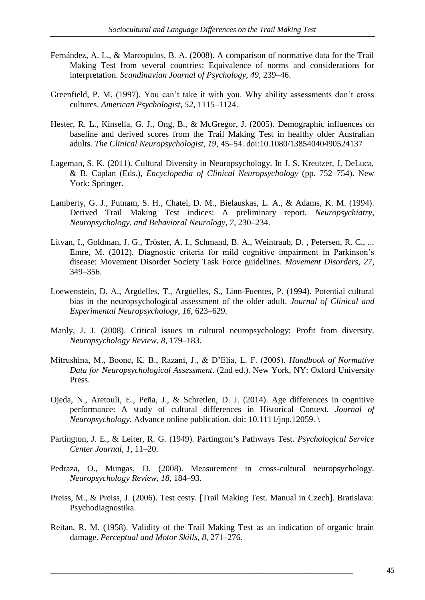- Fernández, A. L., & Marcopulos, B. A. (2008). A comparison of normative data for the Trail Making Test from several countries: Equivalence of norms and considerations for interpretation. *Scandinavian Journal of Psychology, 49*, 239–46.
- Greenfield, P. M. (1997). You can't take it with you. Why ability assessments don't cross cultures. *American Psychologist, 52*, 1115–1124.
- Hester, R. L., Kinsella, G. J., Ong, B., & McGregor, J. (2005). Demographic influences on baseline and derived scores from the Trail Making Test in healthy older Australian adults. *The Clinical Neuropsychologist, 19*, 45–54. doi:10.1080/13854040490524137
- Lageman, S. K. (2011). Cultural Diversity in Neuropsychology. In J. S. Kreutzer, J. DeLuca, & B. Caplan (Eds.), *Encyclopedia of Clinical Neuropsychology* (pp. 752–754). New York: Springer.
- Lamberty, G. J., Putnam, S. H., Chatel, D. M., Bielauskas, L. A., & Adams, K. M. (1994). Derived Trail Making Test indices: A preliminary report. *Neuropsychiatry, Neuropsychology, and Behavioral Neurology, 7*, 230–234.
- Litvan, I., Goldman, J. G., Tröster, A. I., Schmand, B. A., Weintraub, D. , Petersen, R. C., ... Emre, M. (2012). Diagnostic criteria for mild cognitive impairment in Parkinson's disease: Movement Disorder Society Task Force guidelines. *Movement Disorders, 27*, 349–356.
- Loewenstein, D. A., Argüelles, T., Argüelles, S., Linn-Fuentes, P. (1994). Potential cultural bias in the neuropsychological assessment of the older adult. *Journal of Clinical and Experimental Neuropsychology, 16*, 623–629.
- Manly, J. J. (2008). Critical issues in cultural neuropsychology: Profit from diversity. *Neuropsychology Review, 8*, 179–183.
- Mitrushina, M., Boone, K. B., Razani, J., & D'Elia, L. F. (2005). *Handbook of Normative Data for Neuropsychological Assessment*. (2nd ed.). New York, NY: Oxford University Press.
- Ojeda, N., Aretouli, E., Peña, J., & Schretlen, D. J. (2014). Age differences in cognitive performance: A study of cultural differences in Historical Context. *Journal of Neuropsychology*. Advance online publication. doi: 10.1111/jnp.12059. \
- Partington, J. E., & Leiter, R. G. (1949). Partington's Pathways Test. *Psychological Service Center Journal, 1*, 11–20.
- Pedraza, O., Mungas, D. (2008). Measurement in cross-cultural neuropsychology. *Neuropsychology Review*, *18,* 184–93.
- Preiss, M., & Preiss, J. (2006). Test cesty. [Trail Making Test. Manual in Czech]. Bratislava: Psychodiagnostika.
- Reitan, R. M. (1958). Validity of the Trail Making Test as an indication of organic brain damage. *Perceptual and Motor Skills, 8*, 271–276.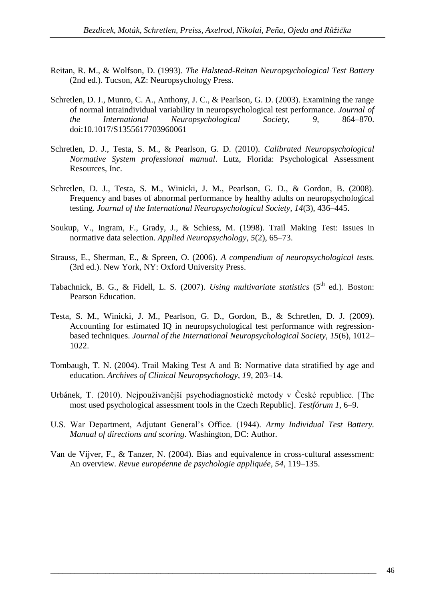- Reitan, R. M., & Wolfson, D. (1993). *The Halstead-Reitan Neuropsychological Test Battery* (2nd ed.). Tucson, AZ: Neuropsychology Press.
- Schretlen, D. J., Munro, C. A., Anthony, J. C., & Pearlson, G. D. (2003). Examining the range of normal intraindividual variability in neuropsychological test performance. *Journal of the International Neuropsychological Society, 9,* 864–870. doi:10.1017/S1355617703960061
- Schretlen, D. J., Testa, S. M., & Pearlson, G. D. (2010). *Calibrated Neuropsychological Normative System professional manual*. Lutz, Florida: Psychological Assessment Resources, Inc.
- Schretlen, D. J., Testa, S. M., Winicki, J. M., Pearlson, G. D., & Gordon, B. (2008). Frequency and bases of abnormal performance by healthy adults on neuropsychological testing. *Journal of the International Neuropsychological Society, 14*(3), 436–445.
- Soukup, V., Ingram, F., Grady, J., & Schiess, M. (1998). Trail Making Test: Issues in normative data selection. *Applied Neuropsychology, 5*(2), 65–73.
- Strauss, E., Sherman, E., & Spreen, O. (2006). *A compendium of neuropsychological tests.* (3rd ed.). New York, NY: Oxford University Press.
- Tabachnick, B. G., & Fidell, L. S. (2007). *Using multivariate statistics* (5<sup>th</sup> ed.). Boston: Pearson Education.
- Testa, S. M., Winicki, J. M., Pearlson, G. D., Gordon, B., & Schretlen, D. J. (2009). Accounting for estimated IQ in neuropsychological test performance with regressionbased techniques. *Journal of the International Neuropsychological Society*, *15*(6), 1012– 1022.
- Tombaugh, T. N. (2004). Trail Making Test A and B: Normative data stratified by age and education. *Archives of Clinical Neuropsychology, 19*, 203–14.
- Urbánek, T. (2010). Nejpoužívanější psychodiagnostické metody v České republice. [The most used psychological assessment tools in the Czech Republic]. *Testfórum 1*, 6–9.
- U.S. War Department, Adjutant General's Office. (1944). *Army Individual Test Battery. Manual of directions and scoring*. Washington, DC: Author.
- Van de Vijver, F., & Tanzer, N. (2004). Bias and equivalence in cross-cultural assessment: An overview. *Revue européenne de psychologie appliquée, 54*, 119–135.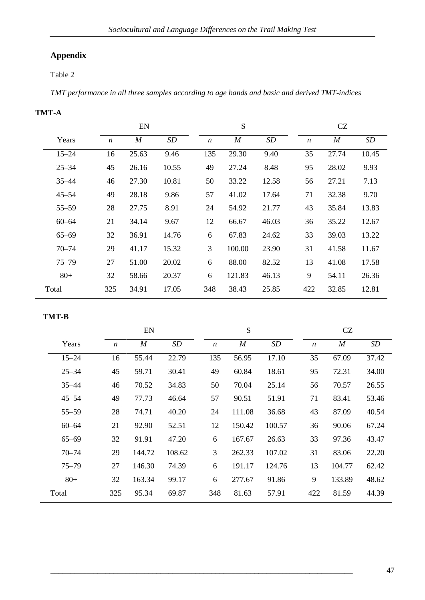# **Appendix**

# Table 2

*TMT performance in all three samples according to age bands and basic and derived TMT-indices*

# **TMT-A**

|           | EN               |                  |           |                  | S      |       | CZ               |       |       |  |
|-----------|------------------|------------------|-----------|------------------|--------|-------|------------------|-------|-------|--|
| Years     | $\boldsymbol{n}$ | $\boldsymbol{M}$ | <b>SD</b> | $\boldsymbol{n}$ | M      | SD    | $\boldsymbol{n}$ | M     | SD    |  |
| $15 - 24$ | 16               | 25.63            | 9.46      | 135              | 29.30  | 9.40  | 35               | 27.74 | 10.45 |  |
| $25 - 34$ | 45               | 26.16            | 10.55     | 49               | 27.24  | 8.48  | 95               | 28.02 | 9.93  |  |
| $35 - 44$ | 46               | 27.30            | 10.81     | 50               | 33.22  | 12.58 | 56               | 27.21 | 7.13  |  |
| $45 - 54$ | 49               | 28.18            | 9.86      | 57               | 41.02  | 17.64 | 71               | 32.38 | 9.70  |  |
| $55 - 59$ | 28               | 27.75            | 8.91      | 24               | 54.92  | 21.77 | 43               | 35.84 | 13.83 |  |
| $60 - 64$ | 21               | 34.14            | 9.67      | 12               | 66.67  | 46.03 | 36               | 35.22 | 12.67 |  |
| $65 - 69$ | 32               | 36.91            | 14.76     | 6                | 67.83  | 24.62 | 33               | 39.03 | 13.22 |  |
| $70 - 74$ | 29               | 41.17            | 15.32     | 3                | 100.00 | 23.90 | 31               | 41.58 | 11.67 |  |
| $75 - 79$ | 27               | 51.00            | 20.02     | 6                | 88.00  | 82.52 | 13               | 41.08 | 17.58 |  |
| $80+$     | 32               | 58.66            | 20.37     | 6                | 121.83 | 46.13 | 9                | 54.11 | 26.36 |  |
| Total     | 325              | 34.91            | 17.05     | 348              | 38.43  | 25.85 | 422              | 32.85 | 12.81 |  |

# **TMT-B**

|           | EN               |        |        |                  | S                |        | CZ               |                  |       |  |  |
|-----------|------------------|--------|--------|------------------|------------------|--------|------------------|------------------|-------|--|--|
| Years     | $\boldsymbol{n}$ | M      | SD     | $\boldsymbol{n}$ | $\boldsymbol{M}$ | SD     | $\boldsymbol{n}$ | $\boldsymbol{M}$ | SD    |  |  |
| $15 - 24$ | 16               | 55.44  | 22.79  | 135              | 56.95            | 17.10  | 35               | 67.09            | 37.42 |  |  |
| $25 - 34$ | 45               | 59.71  | 30.41  | 49               | 60.84            | 18.61  | 95               | 72.31            | 34.00 |  |  |
| $35 - 44$ | 46               | 70.52  | 34.83  | 50               | 70.04            | 25.14  | 56               | 70.57            | 26.55 |  |  |
| $45 - 54$ | 49               | 77.73  | 46.64  | 57               | 90.51            | 51.91  | 71               | 83.41            | 53.46 |  |  |
| $55 - 59$ | 28               | 74.71  | 40.20  | 24               | 111.08           | 36.68  | 43               | 87.09            | 40.54 |  |  |
| $60 - 64$ | 21               | 92.90  | 52.51  | 12               | 150.42           | 100.57 | 36               | 90.06            | 67.24 |  |  |
| $65 - 69$ | 32               | 91.91  | 47.20  | 6                | 167.67           | 26.63  | 33               | 97.36            | 43.47 |  |  |
| $70 - 74$ | 29               | 144.72 | 108.62 | 3                | 262.33           | 107.02 | 31               | 83.06            | 22.20 |  |  |
| $75 - 79$ | 27               | 146.30 | 74.39  | 6                | 191.17           | 124.76 | 13               | 104.77           | 62.42 |  |  |
| $80+$     | 32               | 163.34 | 99.17  | 6                | 277.67           | 91.86  | 9                | 133.89           | 48.62 |  |  |
| Total     | 325              | 95.34  | 69.87  | 348              | 81.63            | 57.91  | 422              | 81.59            | 44.39 |  |  |